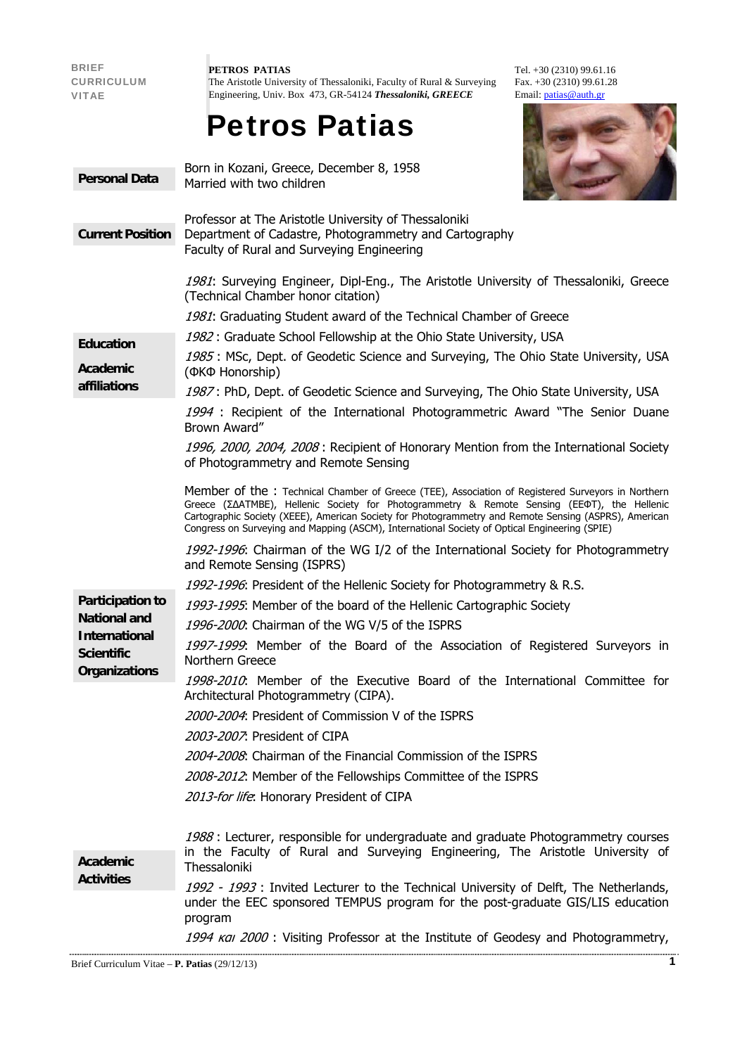| <b>BRIEF</b><br><b>CURRICULUM</b><br><b>VITAE</b>                                                            | PETROS PATIAS<br>Tel. $+30(2310)$ 99.61.16<br>Fax. $+30(2310)$ 99.61.28<br>The Aristotle University of Thessaloniki, Faculty of Rural & Surveying<br>Engineering, Univ. Box 473, GR-54124 Thessaloniki, GREECE<br>Email: $p_{\text{atias}}@$ auth.gr<br><b>Petros Patias</b>                                                                                                                                |
|--------------------------------------------------------------------------------------------------------------|-------------------------------------------------------------------------------------------------------------------------------------------------------------------------------------------------------------------------------------------------------------------------------------------------------------------------------------------------------------------------------------------------------------|
| <b>Personal Data</b>                                                                                         | Born in Kozani, Greece, December 8, 1958<br>Married with two children                                                                                                                                                                                                                                                                                                                                       |
| <b>Current Position</b>                                                                                      | Professor at The Aristotle University of Thessaloniki<br>Department of Cadastre, Photogrammetry and Cartography<br>Faculty of Rural and Surveying Engineering                                                                                                                                                                                                                                               |
|                                                                                                              | 1981: Surveying Engineer, Dipl-Eng., The Aristotle University of Thessaloniki, Greece<br>(Technical Chamber honor citation)                                                                                                                                                                                                                                                                                 |
|                                                                                                              | 1981: Graduating Student award of the Technical Chamber of Greece                                                                                                                                                                                                                                                                                                                                           |
| <b>Education</b>                                                                                             | 1982: Graduate School Fellowship at the Ohio State University, USA                                                                                                                                                                                                                                                                                                                                          |
| <b>Academic</b><br>affiliations                                                                              | 1985: MSc, Dept. of Geodetic Science and Surveying, The Ohio State University, USA<br>(ФКФ Honorship)                                                                                                                                                                                                                                                                                                       |
|                                                                                                              | 1987: PhD, Dept. of Geodetic Science and Surveying, The Ohio State University, USA                                                                                                                                                                                                                                                                                                                          |
|                                                                                                              | 1994 : Recipient of the International Photogrammetric Award "The Senior Duane<br>Brown Award"                                                                                                                                                                                                                                                                                                               |
|                                                                                                              | 1996, 2000, 2004, 2008: Recipient of Honorary Mention from the International Society<br>of Photogrammetry and Remote Sensing                                                                                                                                                                                                                                                                                |
|                                                                                                              | Member of the : Technical Chamber of Greece (TEE), Association of Registered Surveyors in Northern<br>Greece (ZAATMBE), Hellenic Society for Photogrammetry & Remote Sensing (EEФT), the Hellenic<br>Cartographic Society (XEEE), American Society for Photogrammetry and Remote Sensing (ASPRS), American<br>Congress on Surveying and Mapping (ASCM), International Society of Optical Engineering (SPIE) |
|                                                                                                              | 1992-1996: Chairman of the WG I/2 of the International Society for Photogrammetry<br>and Remote Sensing (ISPRS)                                                                                                                                                                                                                                                                                             |
|                                                                                                              | 1992-1996: President of the Hellenic Society for Photogrammetry & R.S.                                                                                                                                                                                                                                                                                                                                      |
| Participation to<br><b>National and</b><br><b>International</b><br><b>Scientific</b><br><b>Organizations</b> | 1993-1995: Member of the board of the Hellenic Cartographic Society                                                                                                                                                                                                                                                                                                                                         |
|                                                                                                              | 1996-2000. Chairman of the WG V/5 of the ISPRS                                                                                                                                                                                                                                                                                                                                                              |
|                                                                                                              | 1997-1999. Member of the Board of the Association of Registered Surveyors in<br>Northern Greece                                                                                                                                                                                                                                                                                                             |
|                                                                                                              | 1998-2010. Member of the Executive Board of the International Committee for<br>Architectural Photogrammetry (CIPA).                                                                                                                                                                                                                                                                                         |
|                                                                                                              | 2000-2004: President of Commission V of the ISPRS                                                                                                                                                                                                                                                                                                                                                           |
|                                                                                                              | 2003-2007. President of CIPA                                                                                                                                                                                                                                                                                                                                                                                |
|                                                                                                              | 2004-2008: Chairman of the Financial Commission of the ISPRS                                                                                                                                                                                                                                                                                                                                                |
|                                                                                                              | 2008-2012. Member of the Fellowships Committee of the ISPRS                                                                                                                                                                                                                                                                                                                                                 |
|                                                                                                              | 2013-for life: Honorary President of CIPA                                                                                                                                                                                                                                                                                                                                                                   |
|                                                                                                              | 1988 : Lecturer, responsible for undergraduate and graduate Photogrammetry courses<br>in the Faculty of Rural and Surveying Engineering, The Aristotle University of                                                                                                                                                                                                                                        |
| <b>Academic</b><br><b>Activities</b>                                                                         | Thessaloniki                                                                                                                                                                                                                                                                                                                                                                                                |
|                                                                                                              | 1992 - 1993 : Invited Lecturer to the Technical University of Delft, The Netherlands,<br>under the EEC sponsored TEMPUS program for the post-graduate GIS/LIS education<br>program                                                                                                                                                                                                                          |
|                                                                                                              | 1994 kal 2000 : Visiting Professor at the Institute of Geodesy and Photogrammetry,                                                                                                                                                                                                                                                                                                                          |
| $\mathbf{1}$<br>Brief Curriculum Vitae - P. Patias $(29/12/13)$                                              |                                                                                                                                                                                                                                                                                                                                                                                                             |